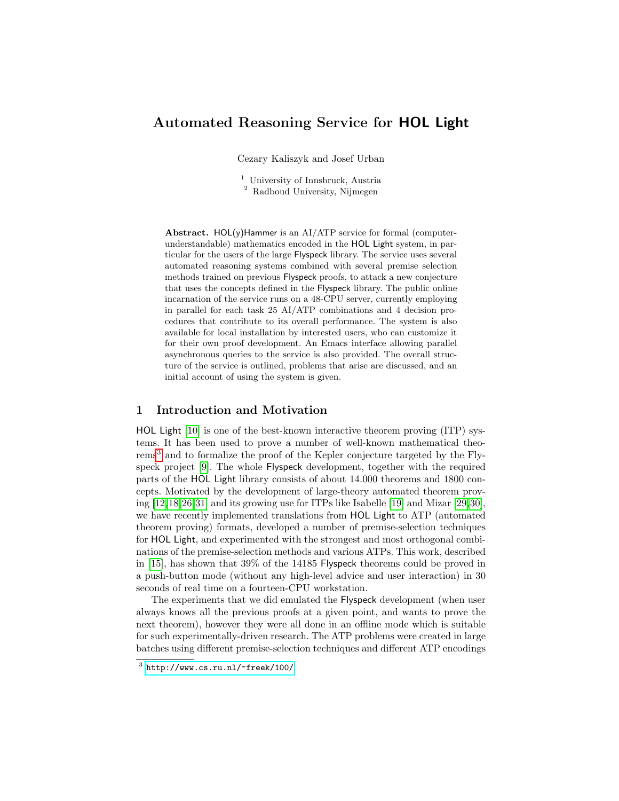# Automated Reasoning Service for HOL Light

Cezary Kaliszyk and Josef Urban

<sup>1</sup> University of Innsbruck, Austria <sup>2</sup> Radboud University, Nijmegen

Abstract. HOL(y)Hammer is an AI/ATP service for formal (computerunderstandable) mathematics encoded in the HOL Light system, in particular for the users of the large Flyspeck library. The service uses several automated reasoning systems combined with several premise selection methods trained on previous Flyspeck proofs, to attack a new conjecture that uses the concepts defined in the Flyspeck library. The public online incarnation of the service runs on a 48-CPU server, currently employing in parallel for each task 25 AI/ATP combinations and 4 decision procedures that contribute to its overall performance. The system is also available for local installation by interested users, who can customize it for their own proof development. An Emacs interface allowing parallel asynchronous queries to the service is also provided. The overall structure of the service is outlined, problems that arise are discussed, and an initial account of using the system is given.

## <span id="page-0-1"></span>1 Introduction and Motivation

HOL Light [\[10\]](#page-13-0) is one of the best-known interactive theorem proving (ITP) systems. It has been used to prove a number of well-known mathematical theo-rems<sup>[3](#page-0-0)</sup> and to formalize the proof of the Kepler conjecture targeted by the Flyspeck project [\[9\]](#page-13-1). The whole Flyspeck development, together with the required parts of the HOL Light library consists of about 14.000 theorems and 1800 concepts. Motivated by the development of large-theory automated theorem proving [\[12,](#page-13-2)[18,](#page-14-0)[26,](#page-14-1)[31\]](#page-14-2) and its growing use for ITPs like Isabelle [\[19\]](#page-14-3) and Mizar [\[29,](#page-14-4)[30\]](#page-14-5), we have recently implemented translations from HOL Light to ATP (automated theorem proving) formats, developed a number of premise-selection techniques for HOL Light, and experimented with the strongest and most orthogonal combinations of the premise-selection methods and various ATPs. This work, described in [\[15\]](#page-14-6), has shown that 39% of the 14185 Flyspeck theorems could be proved in a push-button mode (without any high-level advice and user interaction) in 30 seconds of real time on a fourteen-CPU workstation.

The experiments that we did emulated the Flyspeck development (when user always knows all the previous proofs at a given point, and wants to prove the next theorem), however they were all done in an offline mode which is suitable for such experimentally-driven research. The ATP problems were created in large batches using different premise-selection techniques and different ATP encodings

<span id="page-0-0"></span> $^3$  <http://www.cs.ru.nl/~freek/100/>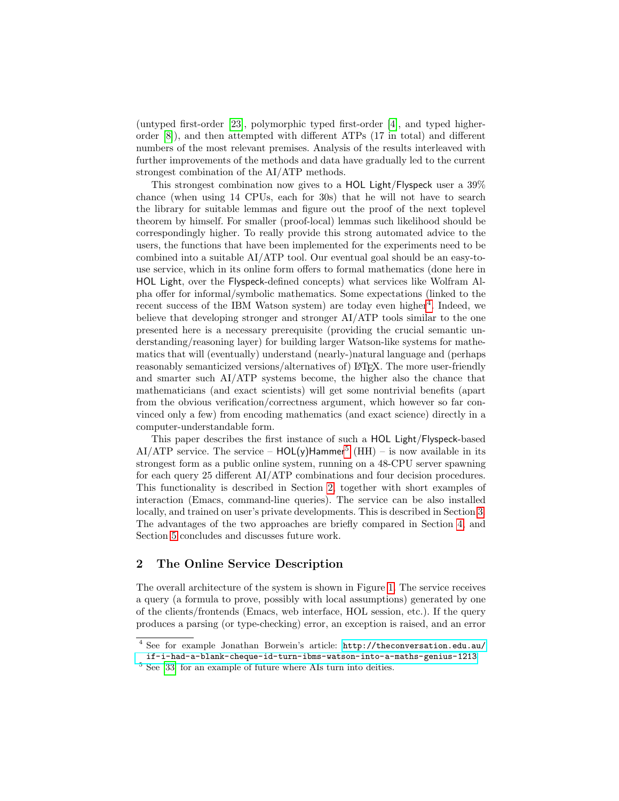(untyped first-order [\[23\]](#page-14-7), polymorphic typed first-order [\[4\]](#page-13-3), and typed higherorder [\[8\]](#page-13-4)), and then attempted with different ATPs (17 in total) and different numbers of the most relevant premises. Analysis of the results interleaved with further improvements of the methods and data have gradually led to the current strongest combination of the AI/ATP methods.

This strongest combination now gives to a HOL Light/Flyspeck user a 39% chance (when using 14 CPUs, each for 30s) that he will not have to search the library for suitable lemmas and figure out the proof of the next toplevel theorem by himself. For smaller (proof-local) lemmas such likelihood should be correspondingly higher. To really provide this strong automated advice to the users, the functions that have been implemented for the experiments need to be combined into a suitable AI/ATP tool. Our eventual goal should be an easy-touse service, which in its online form offers to formal mathematics (done here in HOL Light, over the Flyspeck-defined concepts) what services like Wolfram Alpha offer for informal/symbolic mathematics. Some expectations (linked to the recent success of the IBM Watson system) are today even higher<sup>[4](#page-1-0)</sup>. Indeed, we believe that developing stronger and stronger AI/ATP tools similar to the one presented here is a necessary prerequisite (providing the crucial semantic understanding/reasoning layer) for building larger Watson-like systems for mathematics that will (eventually) understand (nearly-)natural language and (perhaps reasonably semanticized versions/alternatives of) LAT<sub>F</sub>X. The more user-friendly and smarter such AI/ATP systems become, the higher also the chance that mathematicians (and exact scientists) will get some nontrivial benefits (apart from the obvious verification/correctness argument, which however so far convinced only a few) from encoding mathematics (and exact science) directly in a computer-understandable form.

This paper describes the first instance of such a HOL Light/Flyspeck-based  $AI/ATP$  service. The service  $-$  HOL(y)Hammer<sup>[5](#page-1-1)</sup> (HH)  $-$  is now available in its strongest form as a public online system, running on a 48-CPU server spawning for each query 25 different AI/ATP combinations and four decision procedures. This functionality is described in Section [2,](#page-1-2) together with short examples of interaction (Emacs, command-line queries). The service can be also installed locally, and trained on user's private developments. This is described in Section [3.](#page-10-0) The advantages of the two approaches are briefly compared in Section [4,](#page-11-0) and Section [5](#page-12-0) concludes and discusses future work.

# <span id="page-1-2"></span>2 The Online Service Description

The overall architecture of the system is shown in Figure [1.](#page-2-0) The service receives a query (a formula to prove, possibly with local assumptions) generated by one of the clients/frontends (Emacs, web interface, HOL session, etc.). If the query produces a parsing (or type-checking) error, an exception is raised, and an error

<span id="page-1-0"></span><sup>4</sup> See for example Jonathan Borwein's article: [http://theconversation.edu.au/](http://theconversation.edu.au/if-i-had-a-blank-cheque-id-turn-ibms-watson-into-a-maths-genius-1213) [if-i-had-a-blank-cheque-id-turn-ibms-watson-into-a-maths-genius-1213](http://theconversation.edu.au/if-i-had-a-blank-cheque-id-turn-ibms-watson-into-a-maths-genius-1213)

<span id="page-1-1"></span><sup>5</sup> See [\[33\]](#page-14-8) for an example of future where AIs turn into deities.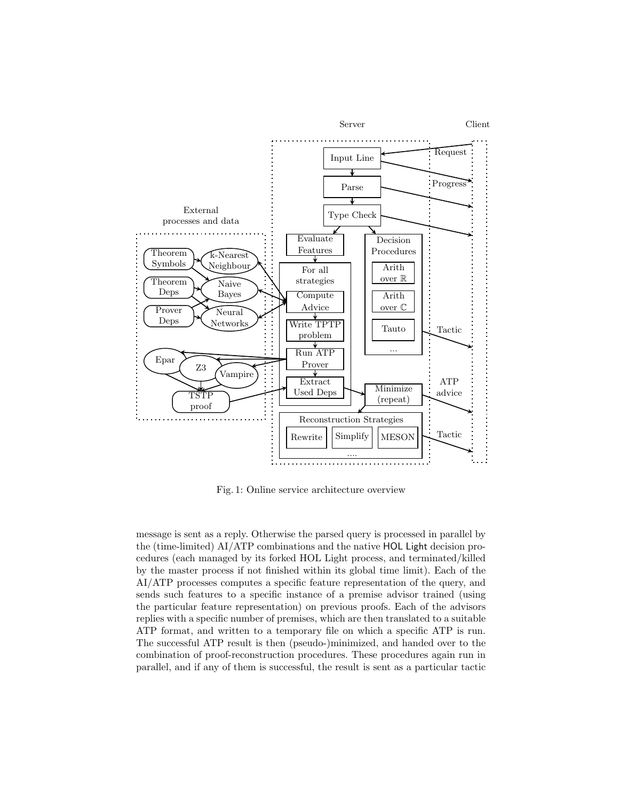<span id="page-2-0"></span>

Fig. 1: Online service architecture overview

message is sent as a reply. Otherwise the parsed query is processed in parallel by the (time-limited) AI/ATP combinations and the native HOL Light decision procedures (each managed by its forked HOL Light process, and terminated/killed by the master process if not finished within its global time limit). Each of the AI/ATP processes computes a specific feature representation of the query, and sends such features to a specific instance of a premise advisor trained (using the particular feature representation) on previous proofs. Each of the advisors replies with a specific number of premises, which are then translated to a suitable ATP format, and written to a temporary file on which a specific ATP is run. The successful ATP result is then (pseudo-)minimized, and handed over to the combination of proof-reconstruction procedures. These procedures again run in parallel, and if any of them is successful, the result is sent as a particular tactic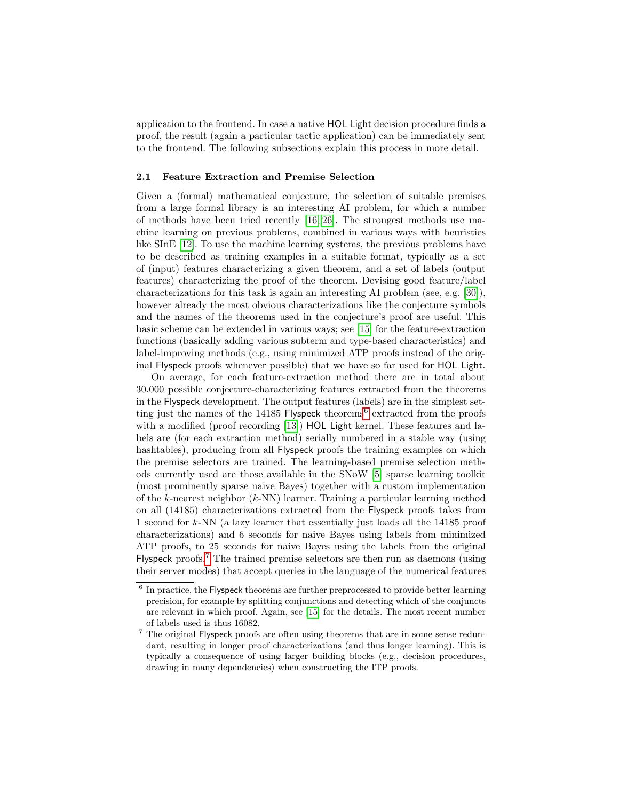application to the frontend. In case a native HOL Light decision procedure finds a proof, the result (again a particular tactic application) can be immediately sent to the frontend. The following subsections explain this process in more detail.

#### <span id="page-3-2"></span>2.1 Feature Extraction and Premise Selection

Given a (formal) mathematical conjecture, the selection of suitable premises from a large formal library is an interesting AI problem, for which a number of methods have been tried recently  $[16, 26]$  $[16, 26]$ . The strongest methods use machine learning on previous problems, combined in various ways with heuristics like SInE [\[12\]](#page-13-2). To use the machine learning systems, the previous problems have to be described as training examples in a suitable format, typically as a set of (input) features characterizing a given theorem, and a set of labels (output features) characterizing the proof of the theorem. Devising good feature/label characterizations for this task is again an interesting AI problem (see, e.g. [\[30\]](#page-14-5)), however already the most obvious characterizations like the conjecture symbols and the names of the theorems used in the conjecture's proof are useful. This basic scheme can be extended in various ways; see [\[15\]](#page-14-6) for the feature-extraction functions (basically adding various subterm and type-based characteristics) and label-improving methods (e.g., using minimized ATP proofs instead of the original Flyspeck proofs whenever possible) that we have so far used for HOL Light.

On average, for each feature-extraction method there are in total about 30.000 possible conjecture-characterizing features extracted from the theorems in the Flyspeck development. The output features (labels) are in the simplest set-ting just the names of the 14185 Flyspeck theorems<sup>[6](#page-3-0)</sup> extracted from the proofs with a modified (proof recording [\[13\]](#page-13-5)) HOL Light kernel. These features and labels are (for each extraction method) serially numbered in a stable way (using hashtables), producing from all Flyspeck proofs the training examples on which the premise selectors are trained. The learning-based premise selection methods currently used are those available in the SNoW [\[5\]](#page-13-6) sparse learning toolkit (most prominently sparse naive Bayes) together with a custom implementation of the k-nearest neighbor  $(k-NN)$  learner. Training a particular learning method on all (14185) characterizations extracted from the Flyspeck proofs takes from 1 second for k-NN (a lazy learner that essentially just loads all the 14185 proof characterizations) and 6 seconds for naive Bayes using labels from minimized ATP proofs, to 25 seconds for naive Bayes using the labels from the original Flyspeck proofs.[7](#page-3-1) The trained premise selectors are then run as daemons (using their server modes) that accept queries in the language of the numerical features

<span id="page-3-0"></span><sup>&</sup>lt;sup>6</sup> In practice, the Flyspeck theorems are further preprocessed to provide better learning precision, for example by splitting conjunctions and detecting which of the conjuncts are relevant in which proof. Again, see [\[15\]](#page-14-6) for the details. The most recent number of labels used is thus 16082.

<span id="page-3-1"></span> $^7$  The original Flyspeck proofs are often using theorems that are in some sense redundant, resulting in longer proof characterizations (and thus longer learning). This is typically a consequence of using larger building blocks (e.g., decision procedures, drawing in many dependencies) when constructing the ITP proofs.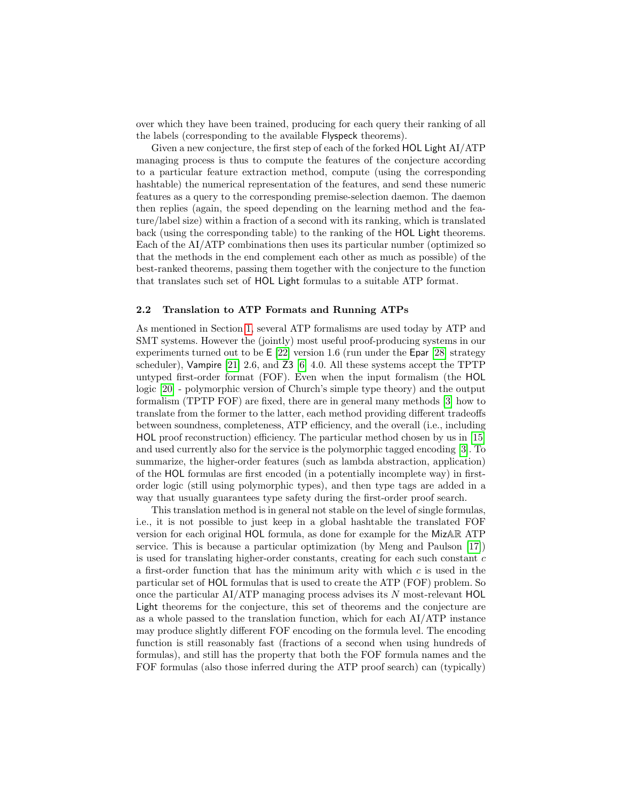over which they have been trained, producing for each query their ranking of all the labels (corresponding to the available Flyspeck theorems).

Given a new conjecture, the first step of each of the forked HOL Light AI/ATP managing process is thus to compute the features of the conjecture according to a particular feature extraction method, compute (using the corresponding hashtable) the numerical representation of the features, and send these numeric features as a query to the corresponding premise-selection daemon. The daemon then replies (again, the speed depending on the learning method and the feature/label size) within a fraction of a second with its ranking, which is translated back (using the corresponding table) to the ranking of the HOL Light theorems. Each of the AI/ATP combinations then uses its particular number (optimized so that the methods in the end complement each other as much as possible) of the best-ranked theorems, passing them together with the conjecture to the function that translates such set of HOL Light formulas to a suitable ATP format.

#### 2.2 Translation to ATP Formats and Running ATPs

As mentioned in Section [1,](#page-0-1) several ATP formalisms are used today by ATP and SMT systems. However the (jointly) most useful proof-producing systems in our experiments turned out to be E [\[22\]](#page-14-10) version 1.6 (run under the Epar [\[28\]](#page-14-11) strategy scheduler), Vampire [\[21\]](#page-14-12) 2.6, and Z3 [\[6\]](#page-13-7) 4.0. All these systems accept the TPTP untyped first-order format (FOF). Even when the input formalism (the HOL logic [\[20\]](#page-14-13) - polymorphic version of Church's simple type theory) and the output formalism (TPTP FOF) are fixed, there are in general many methods [\[3\]](#page-13-8) how to translate from the former to the latter, each method providing different tradeoffs between soundness, completeness, ATP efficiency, and the overall (i.e., including HOL proof reconstruction) efficiency. The particular method chosen by us in [\[15\]](#page-14-6) and used currently also for the service is the polymorphic tagged encoding [\[3\]](#page-13-8). To summarize, the higher-order features (such as lambda abstraction, application) of the HOL formulas are first encoded (in a potentially incomplete way) in firstorder logic (still using polymorphic types), and then type tags are added in a way that usually guarantees type safety during the first-order proof search.

This translation method is in general not stable on the level of single formulas, i.e., it is not possible to just keep in a global hashtable the translated FOF version for each original HOL formula, as done for example for the MizAR ATP service. This is because a particular optimization (by Meng and Paulson [\[17\]](#page-14-14)) is used for translating higher-order constants, creating for each such constant  $c$ a first-order function that has the minimum arity with which  $c$  is used in the particular set of HOL formulas that is used to create the ATP (FOF) problem. So once the particular AI/ATP managing process advises its N most-relevant HOL Light theorems for the conjecture, this set of theorems and the conjecture are as a whole passed to the translation function, which for each  $AI/ATP$  instance may produce slightly different FOF encoding on the formula level. The encoding function is still reasonably fast (fractions of a second when using hundreds of formulas), and still has the property that both the FOF formula names and the FOF formulas (also those inferred during the ATP proof search) can (typically)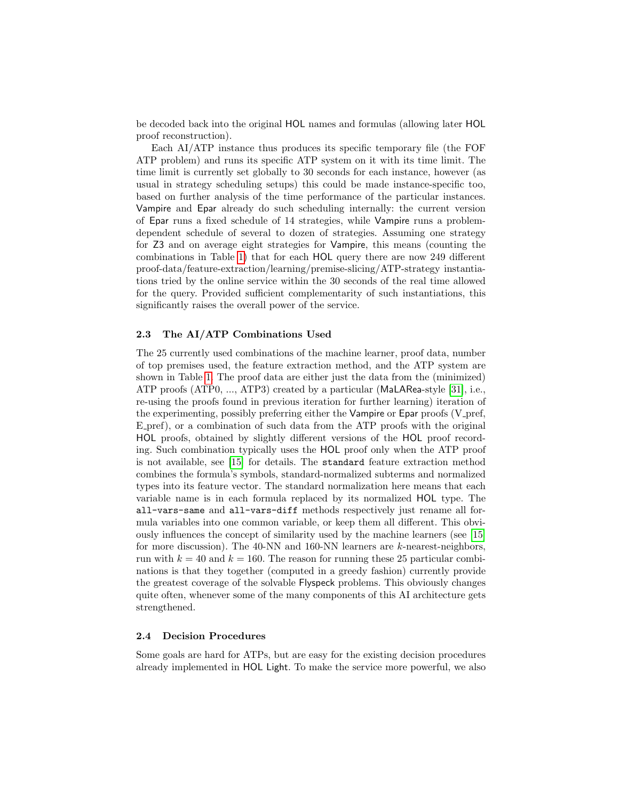be decoded back into the original HOL names and formulas (allowing later HOL proof reconstruction).

Each AI/ATP instance thus produces its specific temporary file (the FOF ATP problem) and runs its specific ATP system on it with its time limit. The time limit is currently set globally to 30 seconds for each instance, however (as usual in strategy scheduling setups) this could be made instance-specific too, based on further analysis of the time performance of the particular instances. Vampire and Epar already do such scheduling internally: the current version of Epar runs a fixed schedule of 14 strategies, while Vampire runs a problemdependent schedule of several to dozen of strategies. Assuming one strategy for Z3 and on average eight strategies for Vampire, this means (counting the combinations in Table [1\)](#page-6-0) that for each HOL query there are now 249 different proof-data/feature-extraction/learning/premise-slicing/ATP-strategy instantiations tried by the online service within the 30 seconds of the real time allowed for the query. Provided sufficient complementarity of such instantiations, this significantly raises the overall power of the service.

## 2.3 The AI/ATP Combinations Used

The 25 currently used combinations of the machine learner, proof data, number of top premises used, the feature extraction method, and the ATP system are shown in Table [1.](#page-6-0) The proof data are either just the data from the (minimized) ATP proofs (ATP0, ..., ATP3) created by a particular (MaLARea-style [\[31\]](#page-14-2), i.e., re-using the proofs found in previous iteration for further learning) iteration of the experimenting, possibly preferring either the Vampire or Epar proofs (V<sub>-</sub>pref, E pref), or a combination of such data from the ATP proofs with the original HOL proofs, obtained by slightly different versions of the HOL proof recording. Such combination typically uses the HOL proof only when the ATP proof is not available, see [\[15\]](#page-14-6) for details. The standard feature extraction method combines the formula's symbols, standard-normalized subterms and normalized types into its feature vector. The standard normalization here means that each variable name is in each formula replaced by its normalized HOL type. The all-vars-same and all-vars-diff methods respectively just rename all formula variables into one common variable, or keep them all different. This obviously influences the concept of similarity used by the machine learners (see [\[15\]](#page-14-6) for more discussion). The 40-NN and 160-NN learners are  $k$ -nearest-neighbors, run with  $k = 40$  and  $k = 160$ . The reason for running these 25 particular combinations is that they together (computed in a greedy fashion) currently provide the greatest coverage of the solvable Flyspeck problems. This obviously changes quite often, whenever some of the many components of this AI architecture gets strengthened.

#### 2.4 Decision Procedures

Some goals are hard for ATPs, but are easy for the existing decision procedures already implemented in HOL Light. To make the service more powerful, we also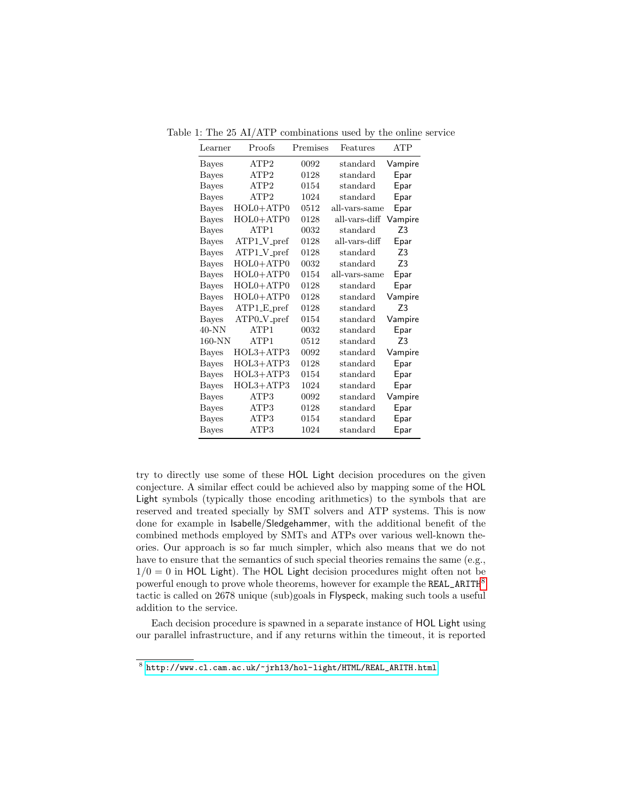<span id="page-6-0"></span>

|  |  | Table 1: The 25 AI/ATP combinations used by the online service |  |  |  |
|--|--|----------------------------------------------------------------|--|--|--|
|  |  |                                                                |  |  |  |

| Learner      | Proofs                  | Premises | Features      | <b>ATP</b>     |
|--------------|-------------------------|----------|---------------|----------------|
| Bayes        | ATP2                    | 0092     | standard      | Vampire        |
| Bayes        | ATP <sub>2</sub>        | 0128     | standard      | Epar           |
| Bayes        | ATP2                    | 0154     | standard      | Epar           |
| <b>Bayes</b> | ATP2                    | 1024     | standard      | Epar           |
| <b>Bayes</b> | $HOL0+ATP0$             | 0512     | all-vars-same | Epar           |
| Bayes        | HOL0+ATP0               | 0128     | all-vars-diff | Vampire        |
| Bayes        | ATP1                    | 0032     | standard      | Z3             |
| <b>Bayes</b> | $ATP1_V_pref$           | 0128     | all-vars-diff | Epar           |
| <b>Bayes</b> | ATP1 <sub>-V-pref</sub> | 0128     | standard      | Z3             |
| <b>Bayes</b> | $HOL0+ATP0$             | 0032     | standard      | Z <sub>3</sub> |
| <b>Bayes</b> | HOL0+ATP0               | 0154     | all-vars-same | Epar           |
| Bayes        | HOL0+ATP0               | 0128     | standard      | Epar           |
| <b>Bayes</b> | $HOL0+ATP0$             | 0128     | standard      | Vampire        |
| <b>Bayes</b> | $ATP1_E_{pref}$         | 0128     | standard      | Z <sub>3</sub> |
| Bayes        | $ATP0.V_pref$           | 0154     | standard      | Vampire        |
| $40-NN$      | ATP1                    | 0032     | standard      | Epar           |
| 160-NN       | ATP1                    | 0512     | standard      | Z <sub>3</sub> |
| <b>Bayes</b> | HOL3+ATP3               | 0092     | standard      | Vampire        |
| <b>Bayes</b> | HOL3+ATP3               | 0128     | standard      | Epar           |
| Bayes        | HOL3+ATP3               | 0154     | standard      | Epar           |
| <b>Bayes</b> | HOL3+ATP3               | 1024     | standard      | Epar           |
| Bayes        | ATP3                    | 0092     | standard      | Vampire        |
| Bayes        | ATP3                    | 0128     | standard      | Epar           |
| Bayes        | ATP3                    | 0154     | standard      | Epar           |
| Bayes        | ATP3                    | 1024     | standard      | Epar           |

try to directly use some of these HOL Light decision procedures on the given conjecture. A similar effect could be achieved also by mapping some of the HOL Light symbols (typically those encoding arithmetics) to the symbols that are reserved and treated specially by SMT solvers and ATP systems. This is now done for example in Isabelle/Sledgehammer, with the additional benefit of the combined methods employed by SMTs and ATPs over various well-known theories. Our approach is so far much simpler, which also means that we do not have to ensure that the semantics of such special theories remains the same (e.g.,  $1/0 = 0$  in HOL Light). The HOL Light decision procedures might often not be powerful enough to prove whole theorems, however for example the **REAL\_ARITH**<sup>[8](#page-6-1)</sup> tactic is called on 2678 unique (sub)goals in Flyspeck, making such tools a useful addition to the service.

Each decision procedure is spawned in a separate instance of HOL Light using our parallel infrastructure, and if any returns within the timeout, it is reported

<span id="page-6-1"></span> $^8$  [http://www.cl.cam.ac.uk/~jrh13/hol-light/HTML/REAL\\_ARITH.html](http://www.cl.cam.ac.uk/~jrh13/hol-light/HTML/REAL_ARITH.html)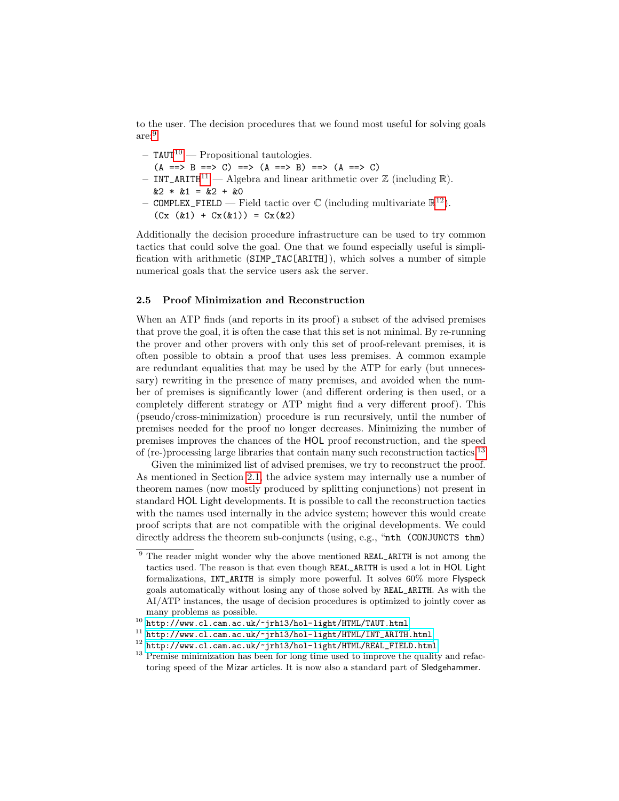to the user. The decision procedures that we found most useful for solving goals are:[9](#page-7-0)

- $-$  TAUT<sup>[10](#page-7-1)</sup> Propositional tautologies.
- $(A \implies B \implies C) \implies (A \implies B) \implies (A \implies C)$
- INT\_ARITH<sup>[11](#page-7-2)</sup> Algebra and linear arithmetic over  $\mathbb Z$  (including  $\mathbb R$ ).  $&2 * &1 = &2 + &0$
- COMPLEX\_FIELD Field tactic over  $\mathbb C$  (including multivariate  $\mathbb R^{12}$  $\mathbb R^{12}$  $\mathbb R^{12}$ ).  $(Cx (k1) + Cx(k1)) = Cx(k2)$

Additionally the decision procedure infrastructure can be used to try common tactics that could solve the goal. One that we found especially useful is simplification with arithmetic (SIMP\_TAC[ARITH]), which solves a number of simple numerical goals that the service users ask the server.

#### 2.5 Proof Minimization and Reconstruction

When an ATP finds (and reports in its proof) a subset of the advised premises that prove the goal, it is often the case that this set is not minimal. By re-running the prover and other provers with only this set of proof-relevant premises, it is often possible to obtain a proof that uses less premises. A common example are redundant equalities that may be used by the ATP for early (but unnecessary) rewriting in the presence of many premises, and avoided when the number of premises is significantly lower (and different ordering is then used, or a completely different strategy or ATP might find a very different proof). This (pseudo/cross-minimization) procedure is run recursively, until the number of premises needed for the proof no longer decreases. Minimizing the number of premises improves the chances of the HOL proof reconstruction, and the speed of (re-)processing large libraries that contain many such reconstruction tactics.[13](#page-7-4)

Given the minimized list of advised premises, we try to reconstruct the proof. As mentioned in Section [2.1,](#page-3-2) the advice system may internally use a number of theorem names (now mostly produced by splitting conjunctions) not present in standard HOL Light developments. It is possible to call the reconstruction tactics with the names used internally in the advice system; however this would create proof scripts that are not compatible with the original developments. We could directly address the theorem sub-conjuncts (using, e.g., "nth (CONJUNCTS thm)

<span id="page-7-0"></span><sup>&</sup>lt;sup>9</sup> The reader might wonder why the above mentioned REAL\_ARITH is not among the tactics used. The reason is that even though REAL\_ARITH is used a lot in HOL Light formalizations, INT\_ARITH is simply more powerful. It solves 60% more Flyspeck goals automatically without losing any of those solved by REAL\_ARITH. As with the AI/ATP instances, the usage of decision procedures is optimized to jointly cover as many problems as possible.

<span id="page-7-1"></span><sup>10</sup> <http://www.cl.cam.ac.uk/~jrh13/hol-light/HTML/TAUT.html>

<span id="page-7-2"></span><sup>11</sup> [http://www.cl.cam.ac.uk/~jrh13/hol-light/HTML/INT\\_ARITH.html](http://www.cl.cam.ac.uk/~jrh13/hol-light/HTML/INT_ARITH.html)

<span id="page-7-3"></span><sup>12</sup> [http://www.cl.cam.ac.uk/~jrh13/hol-light/HTML/REAL\\_FIELD.html](http://www.cl.cam.ac.uk/~jrh13/hol-light/HTML/REAL_FIELD.html)

<span id="page-7-4"></span><sup>&</sup>lt;sup>13</sup> Premise minimization has been for long time used to improve the quality and refactoring speed of the Mizar articles. It is now also a standard part of Sledgehammer.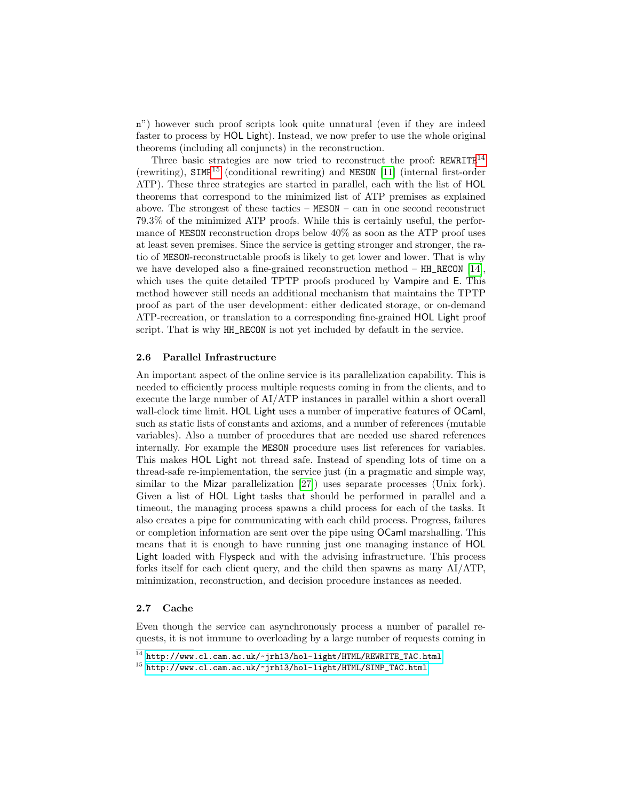n") however such proof scripts look quite unnatural (even if they are indeed faster to process by HOL Light). Instead, we now prefer to use the whole original theorems (including all conjuncts) in the reconstruction.

Three basic strategies are now tried to reconstruct the proof:  $REWRITE^{14}$  $REWRITE^{14}$  $REWRITE^{14}$ (rewriting),  $SIMP<sup>15</sup>$  $SIMP<sup>15</sup>$  $SIMP<sup>15</sup>$  (conditional rewriting) and MESON [\[11\]](#page-13-9) (internal first-order ATP). These three strategies are started in parallel, each with the list of HOL theorems that correspond to the minimized list of ATP premises as explained above. The strongest of these tactics – MESON – can in one second reconstruct 79.3% of the minimized ATP proofs. While this is certainly useful, the performance of MESON reconstruction drops below  $40\%$  as soon as the ATP proof uses at least seven premises. Since the service is getting stronger and stronger, the ratio of MESON-reconstructable proofs is likely to get lower and lower. That is why we have developed also a fine-grained reconstruction method  $-$  HH\_RECON [\[14\]](#page-13-10), which uses the quite detailed TPTP proofs produced by Vampire and E. This method however still needs an additional mechanism that maintains the TPTP proof as part of the user development: either dedicated storage, or on-demand ATP-recreation, or translation to a corresponding fine-grained HOL Light proof script. That is why HH\_RECON is not yet included by default in the service.

#### 2.6 Parallel Infrastructure

An important aspect of the online service is its parallelization capability. This is needed to efficiently process multiple requests coming in from the clients, and to execute the large number of AI/ATP instances in parallel within a short overall wall-clock time limit. HOL Light uses a number of imperative features of OCaml, such as static lists of constants and axioms, and a number of references (mutable variables). Also a number of procedures that are needed use shared references internally. For example the MESON procedure uses list references for variables. This makes HOL Light not thread safe. Instead of spending lots of time on a thread-safe re-implementation, the service just (in a pragmatic and simple way, similar to the Mizar parallelization [\[27\]](#page-14-15)) uses separate processes (Unix fork). Given a list of HOL Light tasks that should be performed in parallel and a timeout, the managing process spawns a child process for each of the tasks. It also creates a pipe for communicating with each child process. Progress, failures or completion information are sent over the pipe using OCaml marshalling. This means that it is enough to have running just one managing instance of HOL Light loaded with Flyspeck and with the advising infrastructure. This process forks itself for each client query, and the child then spawns as many AI/ATP, minimization, reconstruction, and decision procedure instances as needed.

## 2.7 Cache

Even though the service can asynchronously process a number of parallel requests, it is not immune to overloading by a large number of requests coming in

<span id="page-8-0"></span> $^{14}$ [http://www.cl.cam.ac.uk/~jrh13/hol-light/HTML/REWRITE\\_TAC.html](http://www.cl.cam.ac.uk/~jrh13/hol-light/HTML/REWRITE_TAC.html)

<span id="page-8-1"></span> $^{15}$  [http://www.cl.cam.ac.uk/~jrh13/hol-light/HTML/SIMP\\_TAC.html](http://www.cl.cam.ac.uk/~jrh13/hol-light/HTML/SIMP_TAC.html)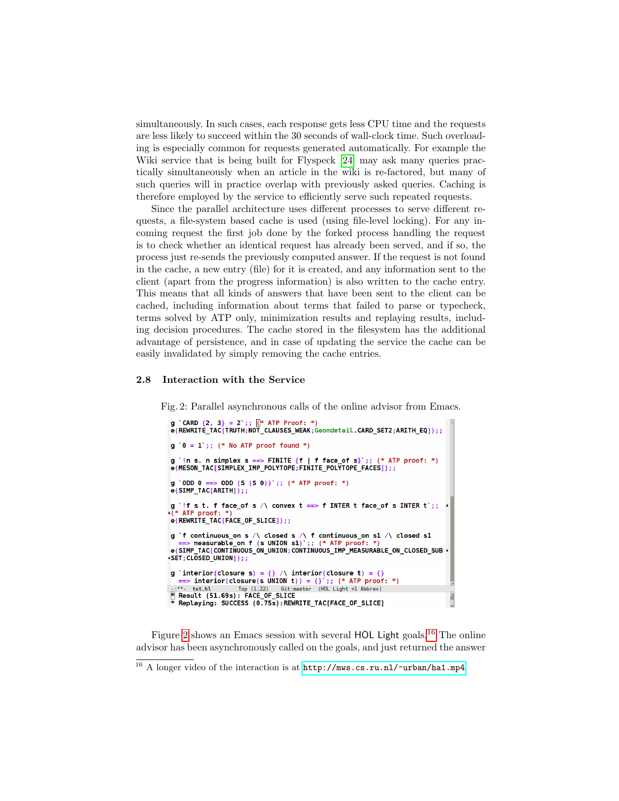simultaneously. In such cases, each response gets less CPU time and the requests are less likely to succeed within the 30 seconds of wall-clock time. Such overloading is especially common for requests generated automatically. For example the Wiki service that is being built for Flyspeck [\[24\]](#page-14-16) may ask many queries practically simultaneously when an article in the wiki is re-factored, but many of such queries will in practice overlap with previously asked queries. Caching is therefore employed by the service to efficiently serve such repeated requests.

Since the parallel architecture uses different processes to serve different requests, a file-system based cache is used (using file-level locking). For any incoming request the first job done by the forked process handling the request is to check whether an identical request has already been served, and if so, the process just re-sends the previously computed answer. If the request is not found in the cache, a new entry (file) for it is created, and any information sent to the client (apart from the progress information) is also written to the cache entry. This means that all kinds of answers that have been sent to the client can be cached, including information about terms that failed to parse or typecheck, terms solved by ATP only, minimization results and replaying results, including decision procedures. The cache stored in the filesystem has the additional advantage of persistence, and in case of updating the service the cache can be easily invalidated by simply removing the cache entries.

#### <span id="page-9-0"></span>2.8 Interaction with the Service

Fig. 2: Parallel asynchronous calls of the online advisor from Emacs.

```
CARD \{2, 3\} = 2: \sqrt{7} ATP Proof: *)
e(REWRITE_TAC[TRUTH;NOT_CLAUSES_WEAK;Geomdetail.CARD_SET2;ARITH_EQ]);;
g \rightharpoonup 0 = 1;; (* No ATP proof found *)
   '!n s. n simplex s ==> FINITE {f | f face of s}';; (* ATP proof: *)
\alphae(MESON_TAC[SIMPLEX_IMP_POLYTOPE;FINITE_POLYTOPE_FACES]);;
g 'ODD \theta ==> ODD (S (S \theta))';; (* ATP proof: *)
e(SIMP_TAC[ARITH]);;
   '!f s t. f face_of s /\ convex t ==> f INTER t face_of s INTER t';;
\alpha(* ATP
          proof:
e(REWRITE TAC[FACE OF SLICE]);;
g `f continuous_on s /\ closed s /\ f continuous_on s1 /\ closed s1<br>==> measurable_on f (s UNION s1) `;; (* ATP proof: *)
e(SIMP_TAC[CONTINUOUS_ON_UNION;CONTINUOUS_IMP_MEASURABLE_ON_CLOSED_SUB
SET; CLOSED_UNION]);;
g 'interior(closure s) = {} /\ interior(closure t) = {}<br>==> interior(closure(s UNION t)) = {}';; (* ATP proof: *)<br>-:**. tst.hl Top (1.22) Git:master (HOL Light +1 Abbrev)<br>\frac{m}{2} Result (51.69s): FACE_OF_SLICE
                                                                                                   Ê
  Replaying: SUCCESS (0.75s):REWRITE_TAC[FACE_OF_SLICE]
```
Figure [2](#page-9-0) shows an Emacs session with several HOL Light goals.<sup>[16](#page-9-1)</sup> The online advisor has been asynchronously called on the goals, and just returned the answer

<span id="page-9-1"></span> $16$  A longer video of the interaction is at  $http://mus.cs.ru.nl/~urban/ha1.mp4$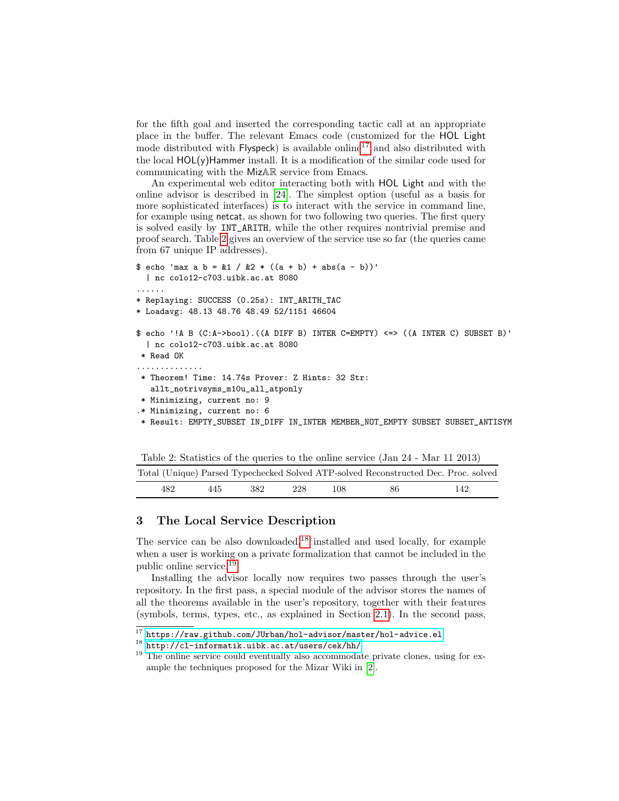for the fifth goal and inserted the corresponding tactic call at an appropriate place in the buffer. The relevant Emacs code (customized for the HOL Light mode distributed with  $Fly$ speck) is available online<sup>[17](#page-10-1)</sup> and also distributed with the local  $HOL(y)$ Hammer install. It is a modification of the similar code used for communicating with the MizAR service from Emacs.

An experimental web editor interacting both with HOL Light and with the online advisor is described in [\[24\]](#page-14-16). The simplest option (useful as a basis for more sophisticated interfaces) is to interact with the service in command line, for example using netcat, as shown for two following two queries. The first query is solved easily by INT\_ARITH, while the other requires nontrivial premise and proof search. Table [2](#page-10-2) gives an overview of the service use so far (the queries came from 67 unique IP addresses).

```
$ echo 'max a b = &1 / &2 * ((a + b) + abs(a - b))'| nc colo12-c703.uibk.ac.at 8080
......
* Replaying: SUCCESS (0.25s): INT_ARITH_TAC
* Loadavg: 48.13 48.76 48.49 52/1151 46604
$ echo '!A B (C:A->bool).((A DIFF B) INTER C=EMPTY) <=> ((A INTER C) SUBSET B)'
  | nc colo12-c703.uibk.ac.at 8080
* Read OK
..............
* Theorem! Time: 14.74s Prover: Z Hints: 32 Str:
   allt_notrivsyms_m10u_all_atponly
* Minimizing, current no: 9
.* Minimizing, current no: 6
* Result: EMPTY_SUBSET IN_DIFF IN_INTER MEMBER_NOT_EMPTY SUBSET SUBSET_ANTISYM
```
<span id="page-10-2"></span>Table 2: Statistics of the queries to the online service (Jan 24 - Mar 11 2013)

|     |     |      |     |     | Total (Unique) Parsed Typechecked Solved ATP-solved Reconstructed Dec. Proc. solved |     |
|-----|-----|------|-----|-----|-------------------------------------------------------------------------------------|-----|
| 482 | 445 | 382. | 228 | 108 | 86                                                                                  | 142 |

# <span id="page-10-0"></span>3 The Local Service Description

The service can be also downloaded,<sup>[18](#page-10-3)</sup> installed and used locally, for example when a user is working on a private formalization that cannot be included in the public online service.[19](#page-10-4)

Installing the advisor locally now requires two passes through the user's repository. In the first pass, a special module of the advisor stores the names of all the theorems available in the user's repository, together with their features (symbols, terms, types, etc., as explained in Section [2.1\)](#page-3-2). In the second pass,

<span id="page-10-1"></span> $\frac{17}{17}$  <https://raw.github.com/JUrban/hol-advisor/master/hol-advice.el>

<span id="page-10-3"></span><sup>18</sup> <http://cl-informatik.uibk.ac.at/users/cek/hh/>

<span id="page-10-4"></span><sup>&</sup>lt;sup>19</sup> The online service could eventually also accommodate private clones, using for example the techniques proposed for the Mizar Wiki in [\[2\]](#page-13-11).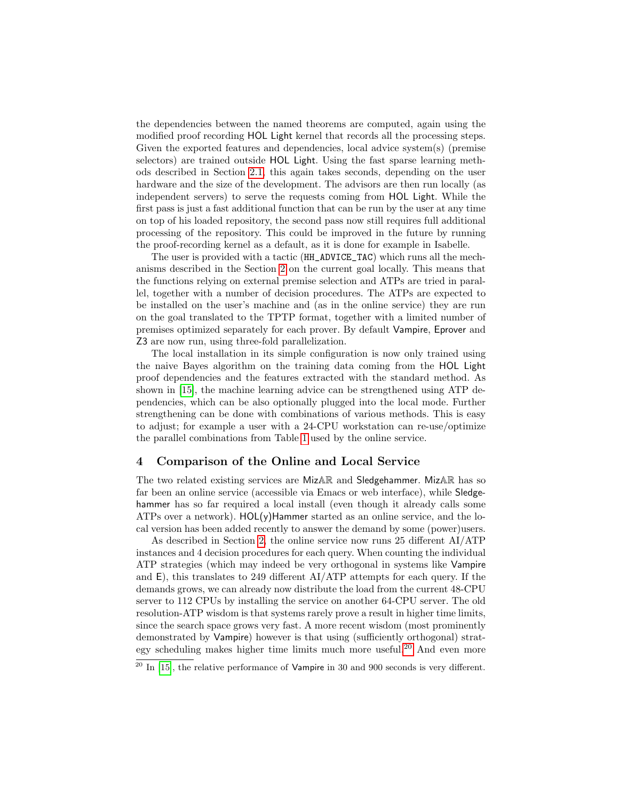the dependencies between the named theorems are computed, again using the modified proof recording HOL Light kernel that records all the processing steps. Given the exported features and dependencies, local advice system(s) (premise selectors) are trained outside HOL Light. Using the fast sparse learning methods described in Section [2.1,](#page-3-2) this again takes seconds, depending on the user hardware and the size of the development. The advisors are then run locally (as independent servers) to serve the requests coming from HOL Light. While the first pass is just a fast additional function that can be run by the user at any time on top of his loaded repository, the second pass now still requires full additional processing of the repository. This could be improved in the future by running the proof-recording kernel as a default, as it is done for example in Isabelle.

The user is provided with a tactic (HH\_ADVICE\_TAC) which runs all the mechanisms described in the Section [2](#page-1-2) on the current goal locally. This means that the functions relying on external premise selection and ATPs are tried in parallel, together with a number of decision procedures. The ATPs are expected to be installed on the user's machine and (as in the online service) they are run on the goal translated to the TPTP format, together with a limited number of premises optimized separately for each prover. By default Vampire, Eprover and Z3 are now run, using three-fold parallelization.

The local installation in its simple configuration is now only trained using the naive Bayes algorithm on the training data coming from the HOL Light proof dependencies and the features extracted with the standard method. As shown in [\[15\]](#page-14-6), the machine learning advice can be strengthened using ATP dependencies, which can be also optionally plugged into the local mode. Further strengthening can be done with combinations of various methods. This is easy to adjust; for example a user with a 24-CPU workstation can re-use/optimize the parallel combinations from Table [1](#page-6-0) used by the online service.

## <span id="page-11-0"></span>4 Comparison of the Online and Local Service

The two related existing services are MizAR and Sledgehammer. MizAR has so far been an online service (accessible via Emacs or web interface), while Sledgehammer has so far required a local install (even though it already calls some ATPs over a network). HOL(y)Hammer started as an online service, and the local version has been added recently to answer the demand by some (power)users.

As described in Section [2,](#page-1-2) the online service now runs 25 different AI/ATP instances and 4 decision procedures for each query. When counting the individual ATP strategies (which may indeed be very orthogonal in systems like Vampire and E), this translates to 249 different AI/ATP attempts for each query. If the demands grows, we can already now distribute the load from the current 48-CPU server to 112 CPUs by installing the service on another 64-CPU server. The old resolution-ATP wisdom is that systems rarely prove a result in higher time limits, since the search space grows very fast. A more recent wisdom (most prominently demonstrated by Vampire) however is that using (sufficiently orthogonal) strat-egy scheduling makes higher time limits much more useful.<sup>[20](#page-11-1)</sup> And even more

<span id="page-11-1"></span> $^{20}$  In [\[15\]](#page-14-6), the relative performance of Vampire in 30 and 900 seconds is very different.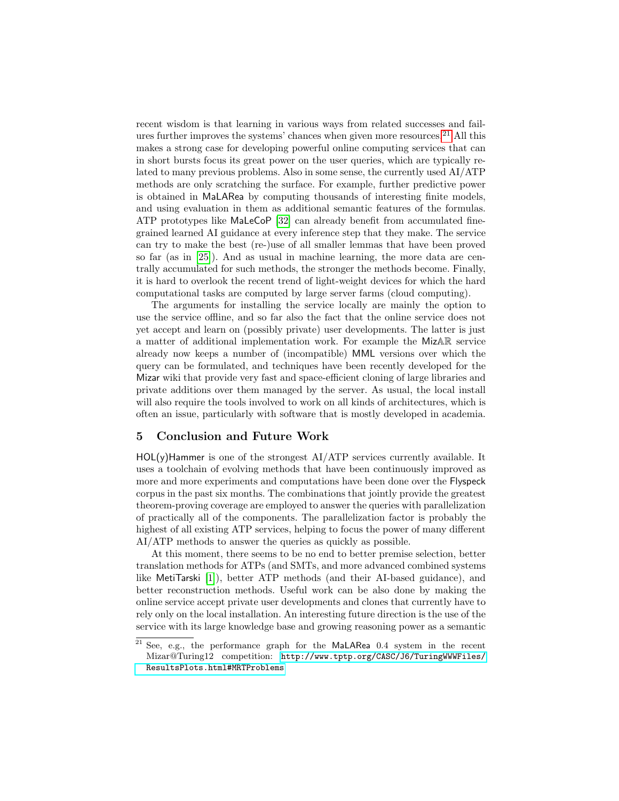recent wisdom is that learning in various ways from related successes and fail-ures further improves the systems' chances when given more resources.<sup>[21](#page-12-1)</sup> All this makes a strong case for developing powerful online computing services that can in short bursts focus its great power on the user queries, which are typically related to many previous problems. Also in some sense, the currently used AI/ATP methods are only scratching the surface. For example, further predictive power is obtained in MaLARea by computing thousands of interesting finite models, and using evaluation in them as additional semantic features of the formulas. ATP prototypes like MaLeCoP [\[32\]](#page-14-17) can already benefit from accumulated finegrained learned AI guidance at every inference step that they make. The service can try to make the best (re-)use of all smaller lemmas that have been proved so far (as in [\[25\]](#page-14-18)). And as usual in machine learning, the more data are centrally accumulated for such methods, the stronger the methods become. Finally, it is hard to overlook the recent trend of light-weight devices for which the hard computational tasks are computed by large server farms (cloud computing).

The arguments for installing the service locally are mainly the option to use the service offline, and so far also the fact that the online service does not yet accept and learn on (possibly private) user developments. The latter is just a matter of additional implementation work. For example the MizAR service already now keeps a number of (incompatible) MML versions over which the query can be formulated, and techniques have been recently developed for the Mizar wiki that provide very fast and space-efficient cloning of large libraries and private additions over them managed by the server. As usual, the local install will also require the tools involved to work on all kinds of architectures, which is often an issue, particularly with software that is mostly developed in academia.

# <span id="page-12-0"></span>5 Conclusion and Future Work

 $HOL(y)$ Hammer is one of the strongest  $AI/ATP$  services currently available. It uses a toolchain of evolving methods that have been continuously improved as more and more experiments and computations have been done over the Flyspeck corpus in the past six months. The combinations that jointly provide the greatest theorem-proving coverage are employed to answer the queries with parallelization of practically all of the components. The parallelization factor is probably the highest of all existing ATP services, helping to focus the power of many different AI/ATP methods to answer the queries as quickly as possible.

At this moment, there seems to be no end to better premise selection, better translation methods for ATPs (and SMTs, and more advanced combined systems like MetiTarski [\[1\]](#page-13-12)), better ATP methods (and their AI-based guidance), and better reconstruction methods. Useful work can be also done by making the online service accept private user developments and clones that currently have to rely only on the local installation. An interesting future direction is the use of the service with its large knowledge base and growing reasoning power as a semantic

<span id="page-12-1"></span><sup>&</sup>lt;sup>21</sup> See, e.g., the performance graph for the MaLARea 0.4 system in the recent Mizar@Turing12 competition: [http://www.tptp.org/CASC/J6/TuringWWWFiles/](http://www.tptp.org/CASC/J6/TuringWWWFiles/ResultsPlots.html#MRTProblems) [ResultsPlots.html#MRTProblems](http://www.tptp.org/CASC/J6/TuringWWWFiles/ResultsPlots.html#MRTProblems)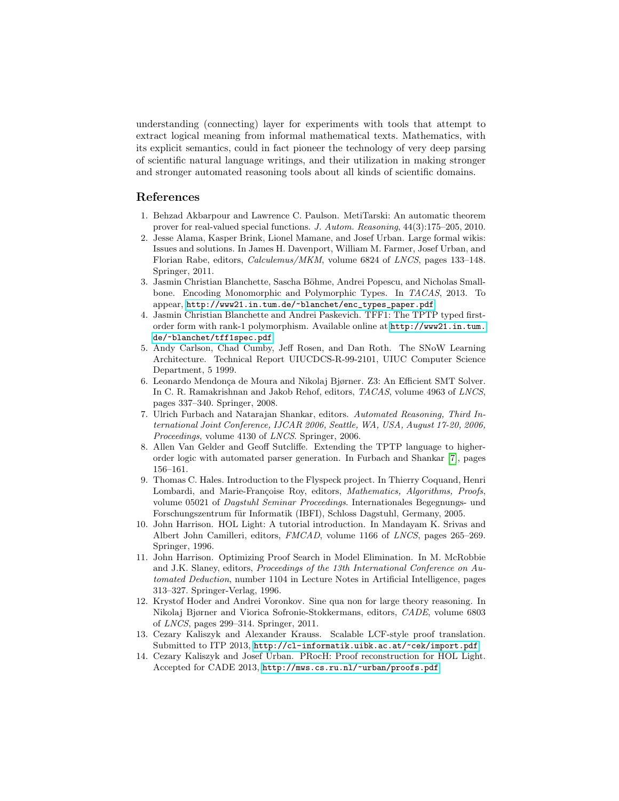understanding (connecting) layer for experiments with tools that attempt to extract logical meaning from informal mathematical texts. Mathematics, with its explicit semantics, could in fact pioneer the technology of very deep parsing of scientific natural language writings, and their utilization in making stronger and stronger automated reasoning tools about all kinds of scientific domains.

## References

- <span id="page-13-12"></span>1. Behzad Akbarpour and Lawrence C. Paulson. MetiTarski: An automatic theorem prover for real-valued special functions. J. Autom. Reasoning, 44(3):175–205, 2010.
- <span id="page-13-11"></span>2. Jesse Alama, Kasper Brink, Lionel Mamane, and Josef Urban. Large formal wikis: Issues and solutions. In James H. Davenport, William M. Farmer, Josef Urban, and Florian Rabe, editors, Calculemus/MKM, volume 6824 of LNCS, pages 133–148. Springer, 2011.
- <span id="page-13-8"></span>3. Jasmin Christian Blanchette, Sascha Böhme, Andrei Popescu, and Nicholas Smallbone. Encoding Monomorphic and Polymorphic Types. In TACAS, 2013. To appear, [http://www21.in.tum.de/~blanchet/enc\\_types\\_paper.pdf](http://www21.in.tum.de/~blanchet/enc_types_paper.pdf).
- <span id="page-13-3"></span>4. Jasmin Christian Blanchette and Andrei Paskevich. TFF1: The TPTP typed firstorder form with rank-1 polymorphism. Available online at [http://www21.in.tum.](http://www21.in.tum.de/~blanchet/tff1spec.pdf) [de/~blanchet/tff1spec.pdf](http://www21.in.tum.de/~blanchet/tff1spec.pdf).
- <span id="page-13-6"></span>5. Andy Carlson, Chad Cumby, Jeff Rosen, and Dan Roth. The SNoW Learning Architecture. Technical Report UIUCDCS-R-99-2101, UIUC Computer Science Department, 5 1999.
- <span id="page-13-7"></span>6. Leonardo Mendonça de Moura and Nikolaj Bjørner. Z3: An Efficient SMT Solver. In C. R. Ramakrishnan and Jakob Rehof, editors, TACAS, volume 4963 of LNCS, pages 337–340. Springer, 2008.
- <span id="page-13-13"></span>7. Ulrich Furbach and Natarajan Shankar, editors. Automated Reasoning, Third International Joint Conference, IJCAR 2006, Seattle, WA, USA, August 17-20, 2006, Proceedings, volume 4130 of LNCS. Springer, 2006.
- <span id="page-13-4"></span>8. Allen Van Gelder and Geoff Sutcliffe. Extending the TPTP language to higherorder logic with automated parser generation. In Furbach and Shankar [\[7\]](#page-13-13), pages 156–161.
- <span id="page-13-1"></span>9. Thomas C. Hales. Introduction to the Flyspeck project. In Thierry Coquand, Henri Lombardi, and Marie-Françoise Roy, editors, *Mathematics, Algorithms, Proofs*, volume 05021 of Dagstuhl Seminar Proceedings. Internationales Begegnungs- und Forschungszentrum für Informatik (IBFI), Schloss Dagstuhl, Germany, 2005.
- <span id="page-13-0"></span>10. John Harrison. HOL Light: A tutorial introduction. In Mandayam K. Srivas and Albert John Camilleri, editors, FMCAD, volume 1166 of LNCS, pages 265–269. Springer, 1996.
- <span id="page-13-9"></span>11. John Harrison. Optimizing Proof Search in Model Elimination. In M. McRobbie and J.K. Slaney, editors, *Proceedings of the 13th International Conference on Au*tomated Deduction, number 1104 in Lecture Notes in Artificial Intelligence, pages 313–327. Springer-Verlag, 1996.
- <span id="page-13-2"></span>12. Krystof Hoder and Andrei Voronkov. Sine qua non for large theory reasoning. In Nikolaj Bjørner and Viorica Sofronie-Stokkermans, editors, CADE, volume 6803 of LNCS, pages 299–314. Springer, 2011.
- <span id="page-13-5"></span>13. Cezary Kaliszyk and Alexander Krauss. Scalable LCF-style proof translation. Submitted to ITP 2013, <http://cl-informatik.uibk.ac.at/~cek/import.pdf>.
- <span id="page-13-10"></span>14. Cezary Kaliszyk and Josef Urban. PRocH: Proof reconstruction for HOL Light. Accepted for CADE 2013, <http://mws.cs.ru.nl/~urban/proofs.pdf>.